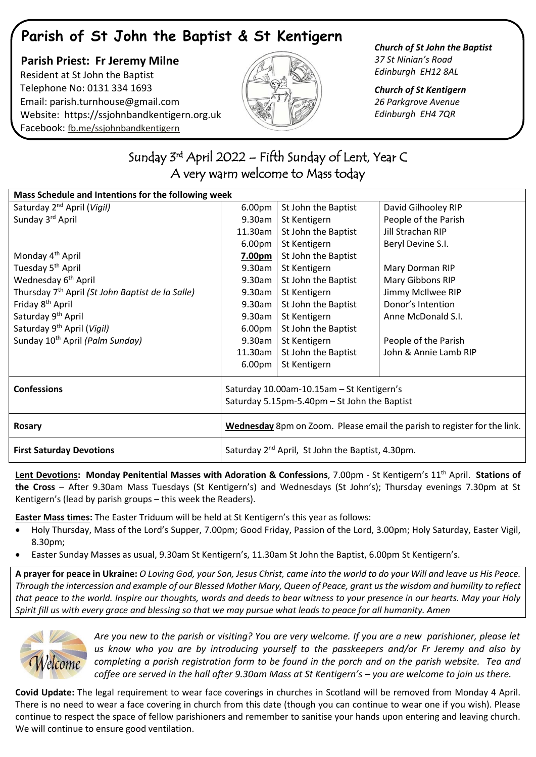# **Parish of St John the Baptist & St Kentigern**

## **Parish Priest: Fr Jeremy Milne** Resident at St John the Baptist Telephone No: 0131 334 1693 Email: [parish.turnhouse@gmail.com](mailto:parish.turnhouse@gmail.com)  Website: [https://ssjohnbandkentigern.org.uk](https://ssjohnbandkentigern.org.uk/) Facebook: [fb.me/ssjohnbandkentigern](https://fb.me/ssjohnbandkentigern)



*Church of St John the Baptist 37 St Ninian's Road Edinburgh EH12 8AL*

*Church of St Kentigern 26 Parkgrove Avenue Edinburgh EH4 7QR*

#### j ٦ Sunday 3 rd April 2022 – Fifth Sunday of Lent, Year C A very warm welcome to Mass today

| Mass Schedule and Intentions for the following week          |                                                                          |                     |                       |
|--------------------------------------------------------------|--------------------------------------------------------------------------|---------------------|-----------------------|
| Saturday 2 <sup>nd</sup> April (Vigil)                       | 6.00 <sub>pm</sub>                                                       | St John the Baptist | David Gilhooley RIP   |
| Sunday 3rd April                                             | 9.30am                                                                   | St Kentigern        | People of the Parish  |
|                                                              | 11.30am                                                                  | St John the Baptist | Jill Strachan RIP     |
|                                                              | 6.00pm                                                                   | St Kentigern        | Beryl Devine S.I.     |
| Monday 4 <sup>th</sup> April                                 | 7.00pm                                                                   | St John the Baptist |                       |
| Tuesday 5 <sup>th</sup> April                                | 9.30am                                                                   | St Kentigern        | Mary Dorman RIP       |
| Wednesday 6 <sup>th</sup> April                              | 9.30am                                                                   | St John the Baptist | Mary Gibbons RIP      |
| Thursday 7 <sup>th</sup> April (St John Baptist de la Salle) | 9.30am                                                                   | St Kentigern        | Jimmy McIlwee RIP     |
| Friday 8 <sup>th</sup> April                                 | 9.30am                                                                   | St John the Baptist | Donor's Intention     |
| Saturday 9 <sup>th</sup> April                               | 9.30am                                                                   | St Kentigern        | Anne McDonald S.I.    |
| Saturday 9 <sup>th</sup> April (Vigil)                       | 6.00pm                                                                   | St John the Baptist |                       |
| Sunday 10 <sup>th</sup> April (Palm Sunday)                  | 9.30am                                                                   | St Kentigern        | People of the Parish  |
|                                                              | 11.30am                                                                  | St John the Baptist | John & Annie Lamb RIP |
|                                                              | 6.00pm                                                                   | St Kentigern        |                       |
| <b>Confessions</b>                                           | Saturday 10.00am-10.15am - St Kentigern's                                |                     |                       |
|                                                              | Saturday 5.15pm-5.40pm - St John the Baptist                             |                     |                       |
| Rosary                                                       | Wednesday 8pm on Zoom. Please email the parish to register for the link. |                     |                       |
| <b>First Saturday Devotions</b>                              | Saturday 2 <sup>nd</sup> April, St John the Baptist, 4.30pm.             |                     |                       |

Lent Devotions: Monday Penitential Masses with Adoration & Confessions, 7.00pm - St Kentigern's 11<sup>th</sup> April. Stations of **the Cross** – After 9.30am Mass Tuesdays (St Kentigern's) and Wednesdays (St John's); Thursday evenings 7.30pm at St Kentigern's (lead by parish groups – this week the Readers).

**Easter Mass times:** The Easter Triduum will be held at St Kentigern's this year as follows:

- Holy Thursday, Mass of the Lord's Supper, 7.00pm; Good Friday, Passion of the Lord, 3.00pm; Holy Saturday, Easter Vigil, 8.30pm;
- Easter Sunday Masses as usual, 9.30am St Kentigern's, 11.30am St John the Baptist, 6.00pm St Kentigern's.

**A prayer for peace in Ukraine:** *O Loving God, your Son, Jesus Christ, came into the world to do your Will and leave us His Peace. Through the intercession and example of our Blessed Mother Mary, Queen of Peace, grant us the wisdom and humility to reflect that peace to the world. Inspire our thoughts, words and deeds to bear witness to your presence in our hearts. May your Holy Spirit fill us with every grace and blessing so that we may pursue what leads to peace for all humanity. Amen*



*Are you new to the parish or visiting? You are very welcome. If you are a new parishioner, please let us know who you are by introducing yourself to the passkeepers and/or Fr Jeremy and also by completing a parish registration form to be found in the porch and on the parish website. Tea and coffee are served in the hall after 9.30am Mass at St Kentigern's – you are welcome to join us there.*

**Covid Update:** The legal requirement to wear face coverings in churches in Scotland will be removed from Monday 4 April. There is no need to wear a face covering in church from this date (though you can continue to wear one if you wish). Please continue to respect the space of fellow parishioners and remember to sanitise your hands upon entering and leaving church. We will continue to ensure good ventilation.